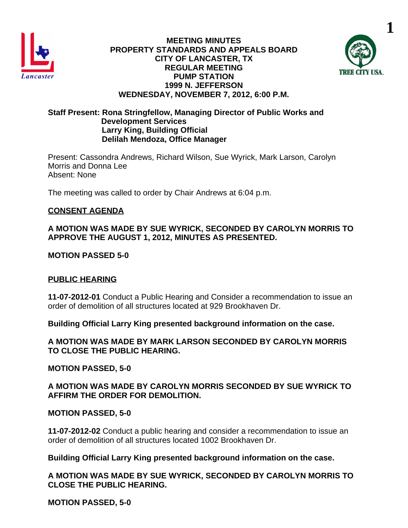

#### **MEETING MINUTES PROPERTY STANDARDS AND APPEALS BOARD CITY OF LANCASTER, TX REGULAR MEETING PUMP STATION 1999 N. JEFFERSON WEDNESDAY, NOVEMBER 7, 2012, 6:00 P.M.**



#### **Staff Present: Rona Stringfellow, Managing Director of Public Works and Development Services Larry King, Building Official Delilah Mendoza, Office Manager**

Present: Cassondra Andrews, Richard Wilson, Sue Wyrick, Mark Larson, Carolyn Morris and Donna Lee Absent: None

The meeting was called to order by Chair Andrews at 6:04 p.m.

## **CONSENT AGENDA**

#### **A MOTION WAS MADE BY SUE WYRICK, SECONDED BY CAROLYN MORRIS TO APPROVE THE AUGUST 1, 2012, MINUTES AS PRESENTED.**

## **MOTION PASSED 5-0**

# **PUBLIC HEARING**

**11-07-2012-01** Conduct a Public Hearing and Consider a recommendation to issue an order of demolition of all structures located at 929 Brookhaven Dr.

**Building Official Larry King presented background information on the case.** 

**A MOTION WAS MADE BY MARK LARSON SECONDED BY CAROLYN MORRIS TO CLOSE THE PUBLIC HEARING.**

#### **MOTION PASSED, 5-0**

**A MOTION WAS MADE BY CAROLYN MORRIS SECONDED BY SUE WYRICK TO AFFIRM THE ORDER FOR DEMOLITION.**

## **MOTION PASSED, 5-0**

**11-07-2012-02** Conduct a public hearing and consider a recommendation to issue an order of demolition of all structures located 1002 Brookhaven Dr.

## **Building Official Larry King presented background information on the case.**

**A MOTION WAS MADE BY SUE WYRICK, SECONDED BY CAROLYN MORRIS TO CLOSE THE PUBLIC HEARING.**

**MOTION PASSED, 5-0**